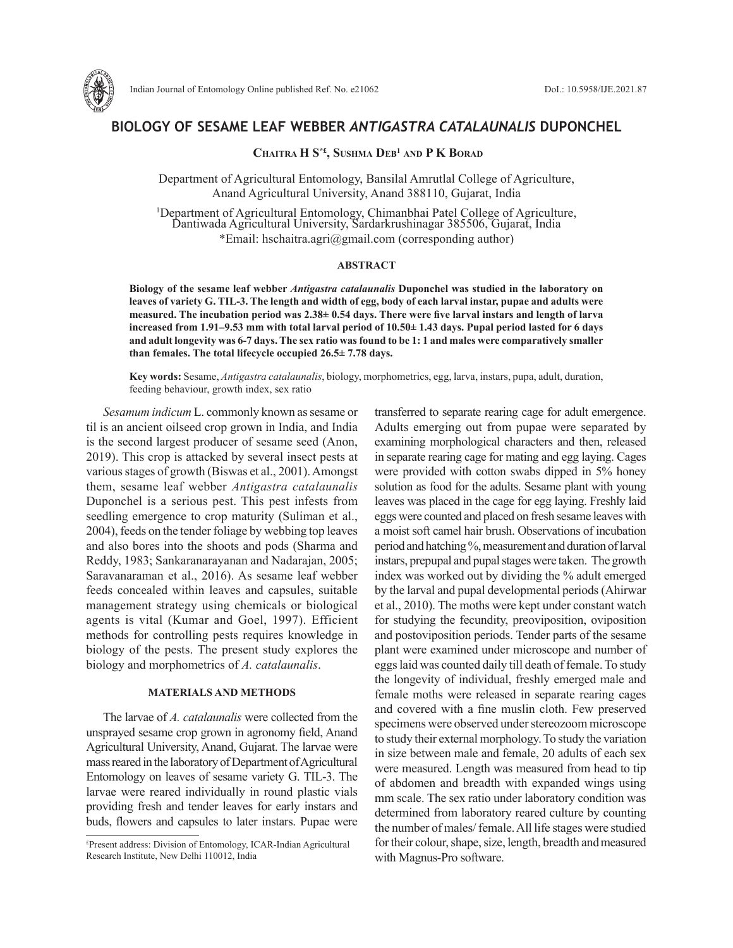

# **BIOLOGY OF SESAME LEAF WEBBER** *ANTIGASTRA CATALAUNALIS* **DUPONCHEL**

# **CHaitra H S\*£, SuSHma Deb<sup>1</sup> anD P K boraD**

Department of Agricultural Entomology, Bansilal Amrutlal College of Agriculture, Anand Agricultural University, Anand 388110, Gujarat, India

<sup>1</sup>Department of Agricultural Entomology, Chimanbhai Patel College of Agriculture, Dantiwada Agricultural University, Sardarkrushinagar 385506, Gujarat, India \*Email: hschaitra.agri@gmail.com (corresponding author)

## **ABSTRACT**

**Biology of the sesame leaf webber** *Antigastra catalaunalis* **Duponchel was studied in the laboratory on leaves of variety G. TIL-3. The length and width of egg, body of each larval instar, pupae and adults were measured. The incubation period was 2.38± 0.54 days. There were five larval instars and length of larva increased from 1.91–9.53 mm with total larval period of 10.50± 1.43 days. Pupal period lasted for 6 days and adult longevity was 6-7 days. The sex ratio was found to be 1: 1 and males were comparatively smaller than females. The total lifecycle occupied 26.5± 7.78 days.** 

**Key words:** Sesame, *Antigastra catalaunalis*, biology, morphometrics, egg, larva, instars, pupa, adult, duration, feeding behaviour, growth index, sex ratio

*Sesamum indicum* L. commonly known as sesame or til is an ancient oilseed crop grown in India, and India is the second largest producer of sesame seed (Anon, 2019). This crop is attacked by several insect pests at various stages of growth (Biswas et al., 2001). Amongst them, sesame leaf webber *Antigastra catalaunalis* Duponchel is a serious pest. This pest infests from seedling emergence to crop maturity (Suliman et al., 2004), feeds on the tender foliage by webbing top leaves and also bores into the shoots and pods (Sharma and Reddy, 1983; Sankaranarayanan and Nadarajan, 2005; Saravanaraman et al., 2016). As sesame leaf webber feeds concealed within leaves and capsules, suitable management strategy using chemicals or biological agents is vital (Kumar and Goel, 1997). Efficient methods for controlling pests requires knowledge in biology of the pests. The present study explores the biology and morphometrics of *A. catalaunalis*.

# **MATERIALS AND METHODS**

The larvae of *A. catalaunalis* were collected from the unsprayed sesame crop grown in agronomy field, Anand Agricultural University, Anand, Gujarat. The larvae were mass reared in the laboratory of Department of Agricultural Entomology on leaves of sesame variety G. TIL-3. The larvae were reared individually in round plastic vials providing fresh and tender leaves for early instars and buds, flowers and capsules to later instars. Pupae were transferred to separate rearing cage for adult emergence. Adults emerging out from pupae were separated by examining morphological characters and then, released in separate rearing cage for mating and egg laying. Cages were provided with cotton swabs dipped in 5% honey solution as food for the adults. Sesame plant with young leaves was placed in the cage for egg laying. Freshly laid eggs were counted and placed on fresh sesame leaves with a moist soft camel hair brush. Observations of incubation period and hatching %, measurement and duration of larval instars, prepupal and pupal stages were taken. The growth index was worked out by dividing the % adult emerged by the larval and pupal developmental periods (Ahirwar et al., 2010). The moths were kept under constant watch for studying the fecundity, preoviposition, oviposition and postoviposition periods. Tender parts of the sesame plant were examined under microscope and number of eggs laid was counted daily till death of female. To study the longevity of individual, freshly emerged male and female moths were released in separate rearing cages and covered with a fine muslin cloth. Few preserved specimens were observed under stereozoom microscope to study their external morphology. To study the variation in size between male and female, 20 adults of each sex were measured. Length was measured from head to tip of abdomen and breadth with expanded wings using mm scale. The sex ratio under laboratory condition was determined from laboratory reared culture by counting the number of males/ female. All life stages were studied for their colour, shape, size, length, breadth and measured with Magnus-Pro software.

<sup>£</sup> Present address: Division of Entomology, ICAR-Indian Agricultural Research Institute, New Delhi 110012, India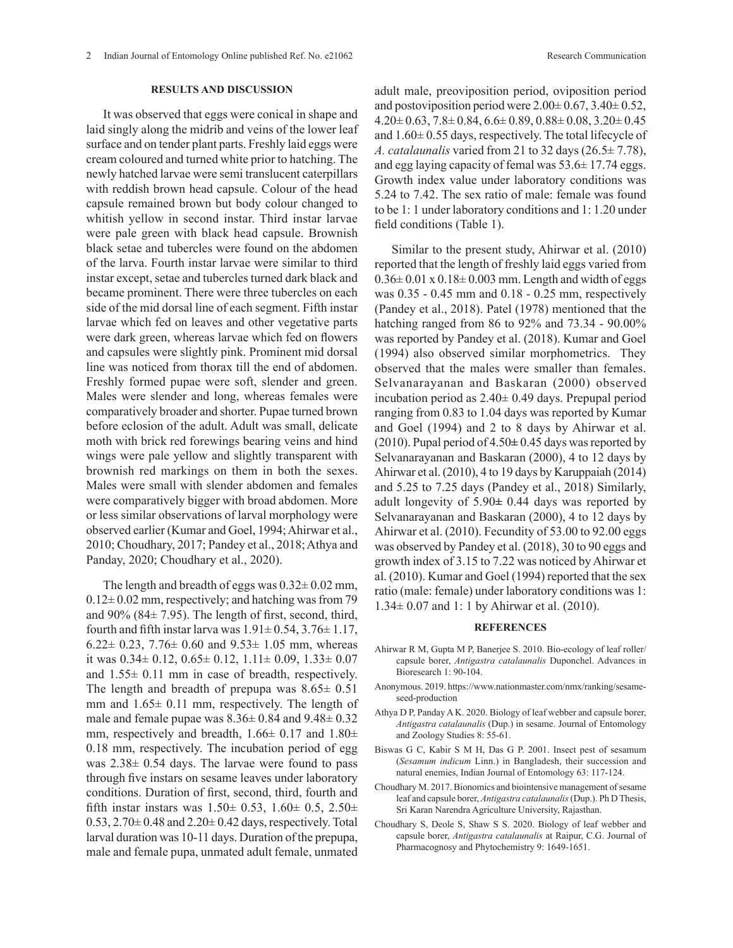## **RESULTS AND DISCUSSION**

It was observed that eggs were conical in shape and laid singly along the midrib and veins of the lower leaf surface and on tender plant parts. Freshly laid eggs were cream coloured and turned white prior to hatching. The newly hatched larvae were semi translucent caterpillars with reddish brown head capsule. Colour of the head capsule remained brown but body colour changed to whitish yellow in second instar. Third instar larvae were pale green with black head capsule. Brownish black setae and tubercles were found on the abdomen of the larva. Fourth instar larvae were similar to third instar except, setae and tubercles turned dark black and became prominent. There were three tubercles on each side of the mid dorsal line of each segment. Fifth instar larvae which fed on leaves and other vegetative parts were dark green, whereas larvae which fed on flowers and capsules were slightly pink. Prominent mid dorsal line was noticed from thorax till the end of abdomen. Freshly formed pupae were soft, slender and green. Males were slender and long, whereas females were comparatively broader and shorter. Pupae turned brown before eclosion of the adult. Adult was small, delicate moth with brick red forewings bearing veins and hind wings were pale yellow and slightly transparent with brownish red markings on them in both the sexes. Males were small with slender abdomen and females were comparatively bigger with broad abdomen. More or less similar observations of larval morphology were observed earlier (Kumar and Goel, 1994; Ahirwar et al., 2010; Choudhary, 2017; Pandey et al., 2018; Athya and Panday, 2020; Choudhary et al., 2020).

The length and breadth of eggs was  $0.32 \pm 0.02$  mm,  $0.12\pm0.02$  mm, respectively; and hatching was from 79 and 90% (84± 7.95). The length of first, second, third, fourth and fifth instar larva was  $1.91 \pm 0.54$ ,  $3.76 \pm 1.17$ , 6.22 $\pm$  0.23, 7.76 $\pm$  0.60 and 9.53 $\pm$  1.05 mm, whereas it was  $0.34\pm 0.12$ ,  $0.65\pm 0.12$ ,  $1.11\pm 0.09$ ,  $1.33\pm 0.07$ and 1.55± 0.11 mm in case of breadth, respectively. The length and breadth of prepupa was  $8.65 \pm 0.51$ mm and 1.65± 0.11 mm, respectively. The length of male and female pupae was  $8.36 \pm 0.84$  and  $9.48 \pm 0.32$ mm, respectively and breadth,  $1.66 \pm 0.17$  and  $1.80 \pm 1.66$ 0.18 mm, respectively. The incubation period of egg was 2.38± 0.54 days. The larvae were found to pass through five instars on sesame leaves under laboratory conditions. Duration of first, second, third, fourth and fifth instar instars was  $1.50 \pm 0.53$ ,  $1.60 \pm 0.5$ ,  $2.50 \pm 0.5$  $0.53$ ,  $2.70\pm0.48$  and  $2.20\pm0.42$  days, respectively. Total larval duration was 10-11 days. Duration of the prepupa, male and female pupa, unmated adult female, unmated

adult male, preoviposition period, oviposition period and postoviposition period were  $2.00\pm 0.67$ ,  $3.40\pm 0.52$ ,  $4.20\pm 0.63$ ,  $7.8\pm 0.84$ ,  $6.6\pm 0.89$ ,  $0.88\pm 0.08$ ,  $3.20\pm 0.45$ and  $1.60\pm 0.55$  days, respectively. The total lifecycle of *A. catalaunalis* varied from 21 to 32 days (26.5± 7.78), and egg laying capacity of femal was 53.6± 17.74 eggs. Growth index value under laboratory conditions was 5.24 to 7.42. The sex ratio of male: female was found to be 1: 1 under laboratory conditions and 1: 1.20 under field conditions (Table 1).

Similar to the present study, Ahirwar et al. (2010) reported that the length of freshly laid eggs varied from  $0.36\pm0.01 \times 0.18\pm0.003$  mm. Length and width of eggs was 0.35 - 0.45 mm and 0.18 - 0.25 mm, respectively (Pandey et al., 2018). Patel (1978) mentioned that the hatching ranged from 86 to 92% and 73.34 - 90.00% was reported by Pandey et al. (2018). Kumar and Goel (1994) also observed similar morphometrics. They observed that the males were smaller than females. Selvanarayanan and Baskaran (2000) observed incubation period as 2.40± 0.49 days. Prepupal period ranging from 0.83 to 1.04 days was reported by Kumar and Goel (1994) and 2 to 8 days by Ahirwar et al. (2010). Pupal period of 4.50**±** 0.45 days was reported by Selvanarayanan and Baskaran (2000), 4 to 12 days by Ahirwar et al. (2010), 4 to 19 days by Karuppaiah (2014) and 5.25 to 7.25 days (Pandey et al., 2018) Similarly, adult longevity of 5.90**±** 0.44 days was reported by Selvanarayanan and Baskaran (2000), 4 to 12 days by Ahirwar et al. (2010). Fecundity of 53.00 to 92.00 eggs was observed by Pandey et al. (2018), 30 to 90 eggs and growth index of 3.15 to 7.22 was noticed by Ahirwar et al. (2010). Kumar and Goel (1994) reported that the sex ratio (male: female) under laboratory conditions was 1: 1.34± 0.07 and 1: 1 by Ahirwar et al. (2010).

#### **REFERENCES**

- Ahirwar R M, Gupta M P, Banerjee S. 2010. Bio-ecology of leaf roller/ capsule borer, *Antigastra catalaunalis* Duponchel. Advances in Bioresearch 1: 90-104.
- Anonymous. 2019. https://www.nationmaster.com/nmx/ranking/sesameseed-production
- Athya D P, Panday A K. 2020. Biology of leaf webber and capsule borer, *Antigastra catalaunalis* (Dup.) in sesame. Journal of Entomology and Zoology Studies 8: 55-61.
- Biswas G C, Kabir S M H, Das G P. 2001. Insect pest of sesamum (*Sesamum indicum* Linn.) in Bangladesh, their succession and natural enemies, Indian Journal of Entomology 63: 117-124.
- Choudhary M. 2017. Bionomics and biointensive management of sesame leaf and capsule borer, *Antigastra catalaunalis* (Dup.). Ph D Thesis, Sri Karan Narendra Agriculture University, Rajasthan.
- Choudhary S, Deole S, Shaw S S. 2020. Biology of leaf webber and capsule borer, *Antigastra catalaunalis* at Raipur, C.G. Journal of Pharmacognosy and Phytochemistry 9: 1649-1651.